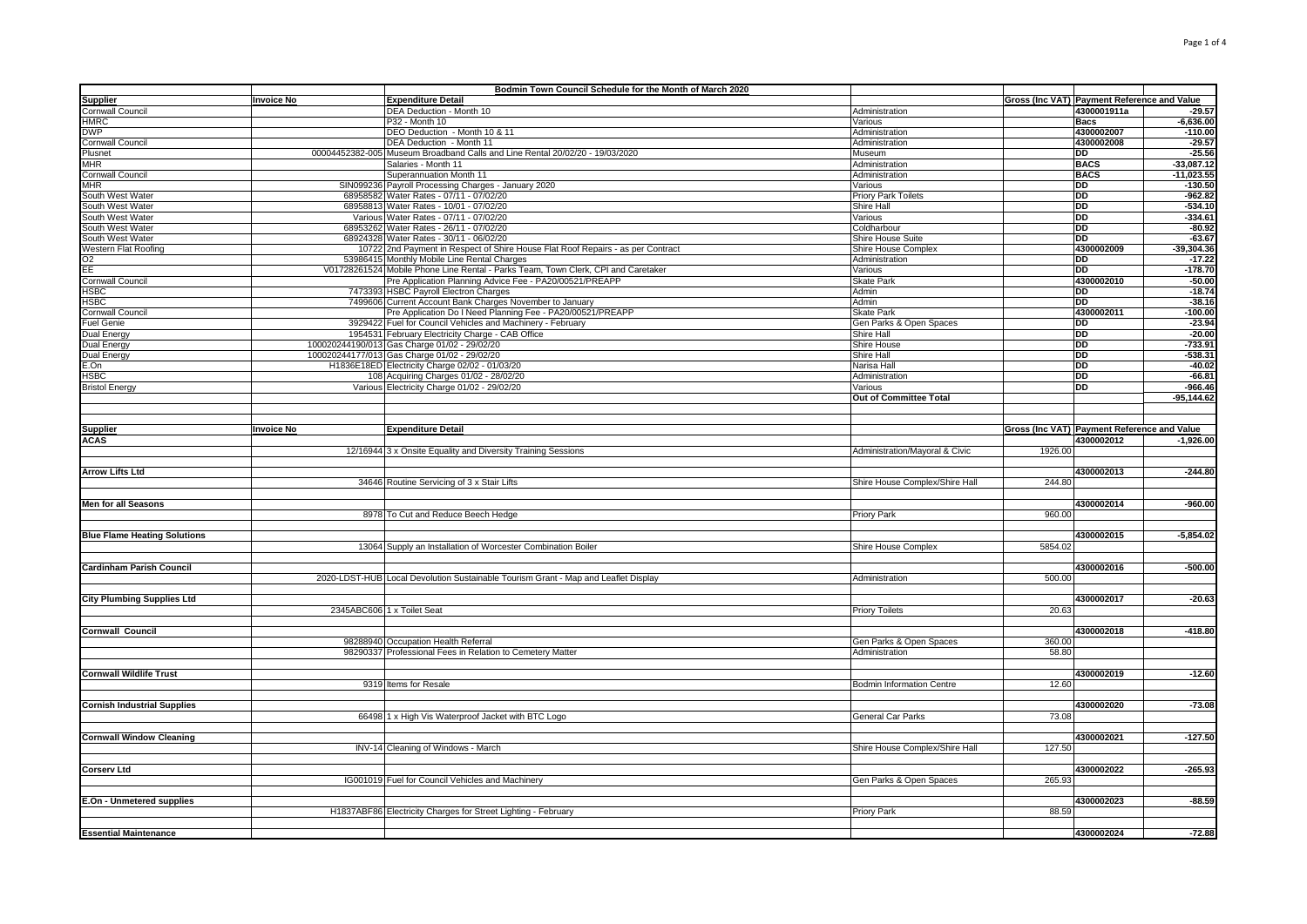|                                     |                   | Bodmin Town Council Schedule for the Month of March 2020                           |                                  |         |                                             |              |
|-------------------------------------|-------------------|------------------------------------------------------------------------------------|----------------------------------|---------|---------------------------------------------|--------------|
| <b>Supplier</b>                     | <b>Invoice No</b> | <u>Expenditure Detail</u>                                                          |                                  |         | Gross (Inc VAT) Payment Reference and Value |              |
| Cornwall Council                    |                   | DEA Deduction - Month 10                                                           | Administration                   |         | 4300001911a                                 | $-29.57$     |
| <b>HMRC</b>                         |                   | P32 - Month 10                                                                     | Various                          |         | <b>Bacs</b>                                 | $-6,636.00$  |
| <b>DWP</b>                          |                   | DEO Deduction - Month 10 & 11                                                      | Administration                   |         | 4300002007                                  | $-110.00$    |
| Cornwall Council                    |                   | DEA Deduction - Month 11                                                           | Administration                   |         | 4300002008                                  | $-29.57$     |
| Plusnet                             |                   | 00004452382-005 Museum Broadband Calls and Line Rental 20/02/20 - 19/03/2020       | Museum                           |         | DD                                          | $-25.56$     |
| <b>MHR</b>                          |                   | Salaries - Month 11                                                                | Administration                   |         | <b>BACS</b>                                 | $-33,087.12$ |
| Cornwall Council                    |                   | Superannuation Month 11                                                            | Administration                   |         | <b>BACS</b>                                 | $-11,023.55$ |
| <b>MHR</b>                          |                   | SIN099236 Payroll Processing Charges - January 2020                                | Various                          |         | <b>DD</b>                                   | $-130.50$    |
| South West Water                    |                   | 68958582 Water Rates - 07/11 - 07/02/20                                            | Priory Park Toilets              |         | DD                                          | $-962.82$    |
| South West Water                    |                   | 68958813 Water Rates - 10/01 - 07/02/20                                            | Shire Hall                       |         | <b>DD</b>                                   | $-534.10$    |
| South West Water                    |                   | Various Water Rates - 07/11 - 07/02/20                                             | Various                          |         | DD                                          | $-334.61$    |
| South West Water                    |                   | 68953262 Water Rates - 26/11 - 07/02/20                                            | Coldharbour                      |         | <b>DD</b>                                   | $-80.92$     |
| South West Water                    |                   | 68924328 Water Rates - 30/11 - 06/02/20                                            | Shire House Suite                |         | <b>DD</b>                                   | $-63.67$     |
| Western Flat Roofing                |                   | 10722 2nd Payment in Respect of Shire House Flat Roof Repairs - as per Contract    | Shire House Complex              |         | 4300002009                                  | $-39,304.36$ |
| O <sub>2</sub>                      |                   | 53986415 Monthly Mobile Line Rental Charges                                        | Administration                   |         | IDD.                                        | $-17.22$     |
| EE                                  |                   | V01728261524 Mobile Phone Line Rental - Parks Team, Town Clerk, CPI and Caretaker  | Various                          |         | DD                                          | $-178.70$    |
| <b>Cornwall Council</b>             |                   | Pre Application Planning Advice Fee - PA20/00521/PREAPP                            | <b>Skate Park</b>                |         | 4300002010                                  | $-50.00$     |
| <b>HSBC</b>                         |                   | 7473393 HSBC Payroll Electron Charges                                              | Admin                            |         | <b>DD</b>                                   | $-18.74$     |
| <b>HSBC</b>                         |                   | 7499606 Current Account Bank Charges November to January                           | Admin                            |         | <b>DD</b>                                   | $-38.16$     |
| Cornwall Council                    |                   | Pre Application Do I Need Planning Fee - PA20/00521/PREAPP                         | <b>Skate Park</b>                |         | 4300002011                                  | $-100.00$    |
| uel Genie <sup>-</sup>              |                   | 3929422 Fuel for Council Vehicles and Machinery - February                         | Gen Parks & Open Spaces          |         | DD                                          | $-23.94$     |
| Dual Energy                         |                   | 1954531 February Electricity Charge - CAB Office                                   | Shire Hall                       |         | <b>DD</b>                                   | $-20.00$     |
| Dual Energy                         |                   | 100020244190/013 Gas Charge 01/02 - 29/02/20                                       | Shire House                      |         | DD                                          | $-733.91$    |
| Dual Energy                         |                   | 100020244177/013 Gas Charge 01/02 - 29/02/20                                       | Shire Hall                       |         | <b>DD</b>                                   | $-538.31$    |
| E.On                                |                   | H1836E18ED Electricity Charge 02/02 - 01/03/20                                     | Narisa Hall                      |         | DD                                          | $-40.02$     |
| HSBC                                |                   | 108 Acquiring Charges 01/02 - 28/02/20                                             | Administration                   |         | <b>DD</b>                                   | $-66.81$     |
| <b>Bristol Energy</b>               |                   | Various Electricity Charge 01/02 - 29/02/20                                        | Various                          |         | DD                                          | $-966.46$    |
|                                     |                   |                                                                                    | Out of Committee Total           |         |                                             | $-95,144.62$ |
|                                     |                   |                                                                                    |                                  |         |                                             |              |
|                                     |                   |                                                                                    |                                  |         |                                             |              |
| <b>Supplier</b>                     | <b>Invoice No</b> | <b>Expenditure Detail</b>                                                          |                                  |         | Gross (Inc VAT) Payment Reference and Value |              |
| <b>ACAS</b>                         |                   |                                                                                    |                                  |         | 4300002012                                  | $-1,926.00$  |
|                                     |                   | 12/16944 3 x Onsite Equality and Diversity Training Sessions                       | Administration/Mayoral & Civic   | 1926.00 |                                             |              |
|                                     |                   |                                                                                    |                                  |         |                                             |              |
| <b>Arrow Lifts Ltd</b>              |                   |                                                                                    |                                  |         | 4300002013                                  | $-244.80$    |
|                                     |                   | 34646 Routine Servicing of 3 x Stair Lifts                                         | Shire House Complex/Shire Hall   | 244.80  |                                             |              |
|                                     |                   |                                                                                    |                                  |         |                                             |              |
| <b>Men for all Seasons</b>          |                   |                                                                                    |                                  |         | 4300002014                                  | $-960.00$    |
|                                     |                   | 8978 To Cut and Reduce Beech Hedge                                                 | <b>Priory Park</b>               | 960.00  |                                             |              |
|                                     |                   |                                                                                    |                                  |         |                                             |              |
| <b>Blue Flame Heating Solutions</b> |                   |                                                                                    |                                  |         | 4300002015                                  | $-5,854.02$  |
|                                     |                   | 13064 Supply an Installation of Worcester Combination Boiler                       | Shire House Complex              | 5854.02 |                                             |              |
|                                     |                   |                                                                                    |                                  |         |                                             |              |
| <b>Cardinham Parish Council</b>     |                   |                                                                                    |                                  |         | 4300002016                                  | $-500.00$    |
|                                     |                   | 2020-LDST-HUB Local Devolution Sustainable Tourism Grant - Map and Leaflet Display | Administration                   | 500.00  |                                             |              |
|                                     |                   |                                                                                    |                                  |         |                                             |              |
| <b>City Plumbing Supplies Ltd</b>   |                   |                                                                                    |                                  |         | 4300002017                                  | $-20.63$     |
|                                     |                   | 2345ABC606 1 x Toilet Seat                                                         | <b>Priory Toilets</b>            | 20.63   |                                             |              |
|                                     |                   |                                                                                    |                                  |         |                                             |              |
| <b>Cornwall Council</b>             |                   |                                                                                    |                                  |         | 4300002018                                  | $-418.80$    |
|                                     |                   | 98288940 Occupation Health Referral                                                | Gen Parks & Open Spaces          | 360.00  |                                             |              |
|                                     |                   | 98290337 Professional Fees in Relation to Cemetery Matter                          | Administration                   | 58.80   |                                             |              |
|                                     |                   |                                                                                    |                                  |         |                                             |              |
| <b>Cornwall Wildlife Trust</b>      |                   |                                                                                    |                                  |         | 4300002019                                  | $-12.60$     |
|                                     |                   | 9319 Items for Resale                                                              | <b>Bodmin Information Centre</b> | 12.60   |                                             |              |
|                                     |                   |                                                                                    |                                  |         |                                             |              |
| <b>Cornish Industrial Supplies</b>  |                   |                                                                                    |                                  |         | 4300002020                                  | $-73.08$     |
|                                     |                   | 66498 1 x High Vis Waterproof Jacket with BTC Logo                                 | General Car Parks                | 73.08   |                                             |              |
|                                     |                   |                                                                                    |                                  |         |                                             |              |
| <b>Cornwall Window Cleaning</b>     |                   |                                                                                    |                                  |         | 4300002021                                  | $-127.50$    |
|                                     |                   | INV-14 Cleaning of Windows - March                                                 | Shire House Complex/Shire Hall   | 127.50  |                                             |              |
|                                     |                   |                                                                                    |                                  |         |                                             |              |
| <b>Corserv Ltd</b>                  |                   |                                                                                    |                                  |         | 4300002022                                  | $-265.93$    |
|                                     |                   | IG001019 Fuel for Council Vehicles and Machinery                                   | Gen Parks & Open Spaces          | 265.93  |                                             |              |
|                                     |                   |                                                                                    |                                  |         |                                             |              |
| E.On - Unmetered supplies           |                   |                                                                                    |                                  |         | 4300002023                                  | $-88.59$     |
|                                     |                   | H1837ABF86 Electricity Charges for Street Lighting - February                      | Priory Park                      | 88.59   |                                             |              |
|                                     |                   |                                                                                    |                                  |         |                                             |              |
| <b>Essential Maintenance</b>        |                   |                                                                                    |                                  |         | 4300002024                                  | $-72.88$     |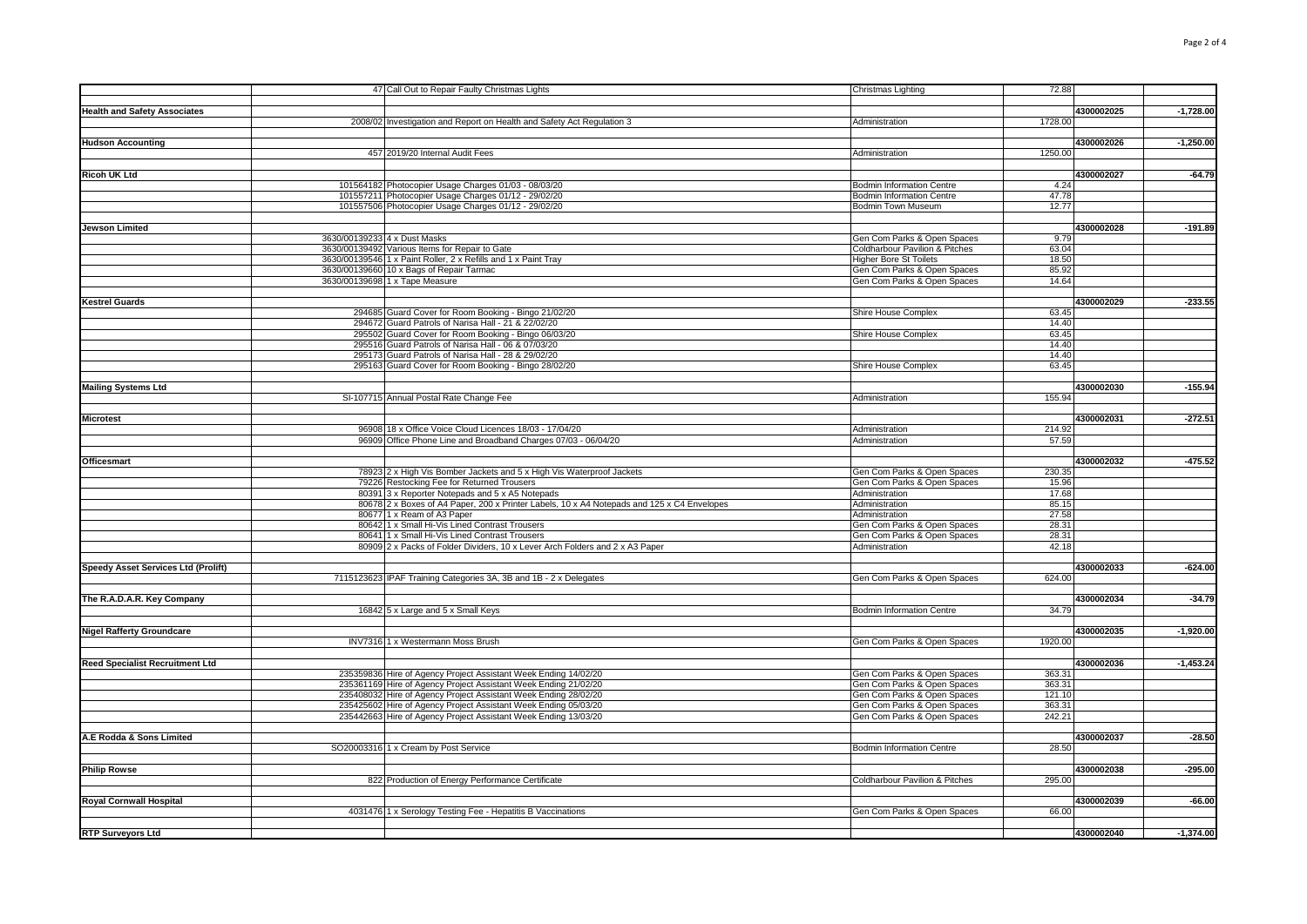|                                        | 47 Call Out to Repair Faulty Christmas Lights                                              | Christmas Lighting                        | 72.88   |            |             |
|----------------------------------------|--------------------------------------------------------------------------------------------|-------------------------------------------|---------|------------|-------------|
|                                        |                                                                                            |                                           |         |            |             |
| <b>Health and Safety Associates</b>    |                                                                                            |                                           |         | 4300002025 | $-1,728.00$ |
|                                        | 2008/02 Investigation and Report on Health and Safety Act Regulation 3                     | Administration                            | 1728.00 |            |             |
|                                        |                                                                                            |                                           |         |            |             |
| <b>Hudson Accounting</b>               |                                                                                            |                                           |         | 4300002026 | $-1,250.00$ |
|                                        | 457 2019/20 Internal Audit Fees                                                            | Administration                            | 1250.00 |            |             |
|                                        |                                                                                            |                                           |         |            |             |
| <b>Ricoh UK Ltd</b>                    |                                                                                            |                                           |         | 4300002027 | $-64.79$    |
|                                        | 101564182 Photocopier Usage Charges 01/03 - 08/03/20                                       | <b>Bodmin Information Centre</b>          | 4.24    |            |             |
|                                        | 101557211 Photocopier Usage Charges 01/12 - 29/02/20                                       | <b>Bodmin Information Centre</b>          | 47.78   |            |             |
|                                        | 101557506 Photocopier Usage Charges 01/12 - 29/02/20                                       | Bodmin Town Museum                        | 12.77   |            |             |
|                                        |                                                                                            |                                           |         |            |             |
| <b>Jewson Limited</b>                  |                                                                                            |                                           |         | 4300002028 | $-191.89$   |
|                                        | 3630/00139233 4 x Dust Masks                                                               | Gen Com Parks & Open Spaces               | 9.79    |            |             |
|                                        | 3630/00139492 Various Items for Repair to Gate                                             | <b>Coldharbour Pavilion &amp; Pitches</b> | 63.04   |            |             |
|                                        | 3630/00139546 1 x Paint Roller, 2 x Refills and 1 x Paint Tray                             | <b>Higher Bore St Toilets</b>             | 18.50   |            |             |
|                                        | 3630/00139660 10 x Bags of Repair Tarmac                                                   | Gen Com Parks & Open Spaces               | 85.92   |            |             |
|                                        | 3630/00139698 1 x Tape Measure                                                             | Gen Com Parks & Open Spaces               | 14.64   |            |             |
|                                        |                                                                                            |                                           |         |            |             |
| <b>Kestrel Guards</b>                  |                                                                                            |                                           |         | 4300002029 | $-233.55$   |
|                                        | 294685 Guard Cover for Room Booking - Bingo 21/02/20                                       | Shire House Complex                       | 63.45   |            |             |
|                                        | 294672 Guard Patrols of Narisa Hall - 21 & 22/02/20                                        |                                           | 14.40   |            |             |
|                                        | 295502 Guard Cover for Room Booking - Bingo 06/03/20                                       | Shire House Complex                       | 63.45   |            |             |
|                                        | 295516 Guard Patrols of Narisa Hall - 06 & 07/03/20                                        |                                           | 14.40   |            |             |
|                                        | 295173 Guard Patrols of Narisa Hall - 28 & 29/02/20                                        |                                           | 14.40   |            |             |
|                                        | 295163 Guard Cover for Room Booking - Bingo 28/02/20                                       | Shire House Complex                       | 63.45   |            |             |
|                                        |                                                                                            |                                           |         |            |             |
| <b>Mailing Systems Ltd</b>             |                                                                                            |                                           |         | 4300002030 | $-155.94$   |
|                                        | SI-107715 Annual Postal Rate Change Fee                                                    | Administration                            | 155.94  |            |             |
|                                        |                                                                                            |                                           |         |            |             |
| <b>Microtest</b>                       |                                                                                            |                                           |         | 4300002031 | $-272.51$   |
|                                        | 96908 18 x Office Voice Cloud Licences 18/03 - 17/04/20                                    | Administration                            | 214.92  |            |             |
|                                        | 96909 Office Phone Line and Broadband Charges 07/03 - 06/04/20                             | Administration                            | 57.59   |            |             |
|                                        |                                                                                            |                                           |         |            |             |
| <b>Officesmart</b>                     |                                                                                            |                                           |         | 4300002032 | $-475.52$   |
|                                        | 78923 2 x High Vis Bomber Jackets and 5 x High Vis Waterproof Jackets                      | Gen Com Parks & Open Spaces               | 230.35  |            |             |
|                                        | 79226 Restocking Fee for Returned Trousers                                                 | Gen Com Parks & Open Spaces               | 15.96   |            |             |
|                                        | 80391 3 x Reporter Notepads and 5 x A5 Notepads                                            | Administration                            | 17.68   |            |             |
|                                        | 80678 2 x Boxes of A4 Paper, 200 x Printer Labels, 10 x A4 Notepads and 125 x C4 Envelopes | Administration                            | 85.15   |            |             |
|                                        | 80677 1 x Ream of A3 Paper                                                                 | Administration                            | 27.58   |            |             |
|                                        | 80642 1 x Small Hi-Vis Lined Contrast Trousers                                             | Gen Com Parks & Open Spaces               | 28.31   |            |             |
|                                        | 80641 1 x Small Hi-Vis Lined Contrast Trousers                                             | Gen Com Parks & Open Spaces               | 28.31   |            |             |
|                                        | 80909 2 x Packs of Folder Dividers, 10 x Lever Arch Folders and 2 x A3 Paper               | Administration                            | 42.18   |            |             |
|                                        |                                                                                            |                                           |         |            |             |
| Speedy Asset Services Ltd (Prolift)    |                                                                                            |                                           |         | 4300002033 | $-624.00$   |
|                                        | 7115123623 IPAF Training Categories 3A, 3B and 1B - 2 x Delegates                          | Gen Com Parks & Open Spaces               | 624.00  |            |             |
|                                        |                                                                                            |                                           |         |            |             |
| The R.A.D.A.R. Key Company             |                                                                                            |                                           |         | 4300002034 | $-34.79$    |
|                                        | 16842 5 x Large and 5 x Small Keys                                                         | <b>Bodmin Information Centre</b>          | 34.79   |            |             |
|                                        |                                                                                            |                                           |         |            |             |
| <b>Nigel Rafferty Groundcare</b>       |                                                                                            |                                           |         | 4300002035 | $-1,920.00$ |
|                                        | INV7316 1 x Westermann Moss Brush                                                          | Gen Com Parks & Open Spaces               | 1920.00 |            |             |
|                                        |                                                                                            |                                           |         |            |             |
| <b>Reed Specialist Recruitment Ltd</b> |                                                                                            |                                           |         | 4300002036 | $-1,453.24$ |
|                                        | 235359836 Hire of Agency Project Assistant Week Ending 14/02/20                            | Gen Com Parks & Open Spaces               | 363.31  |            |             |
|                                        | 235361169 Hire of Agency Project Assistant Week Ending 21/02/20                            | Gen Com Parks & Open Spaces               | 363.31  |            |             |
|                                        | 235408032 Hire of Agency Project Assistant Week Ending 28/02/20                            | Gen Com Parks & Open Spaces               | 121.10  |            |             |
|                                        | 235425602 Hire of Agency Project Assistant Week Ending 05/03/20                            | Gen Com Parks & Open Spaces               | 363.31  |            |             |
|                                        | 235442663 Hire of Agency Project Assistant Week Ending 13/03/20                            | Gen Com Parks & Open Spaces               | 242.21  |            |             |
|                                        |                                                                                            |                                           |         |            |             |
| A.E Rodda & Sons Limited               |                                                                                            |                                           |         | 4300002037 | $-28.50$    |
|                                        | SO20003316 1 x Cream by Post Service                                                       | <b>Bodmin Information Centre</b>          | 28.50   |            |             |
|                                        |                                                                                            |                                           |         |            |             |
| <b>Philip Rowse</b>                    |                                                                                            |                                           |         | 4300002038 | $-295.00$   |
|                                        | 822 Production of Energy Performance Certificate                                           | <b>Coldharbour Pavilion &amp; Pitches</b> | 295.00  |            |             |
|                                        |                                                                                            |                                           |         |            |             |
| <b>Royal Cornwall Hospital</b>         |                                                                                            |                                           |         | 4300002039 | $-66.00$    |
|                                        | 4031476 1 x Serology Testing Fee - Hepatitis B Vaccinations                                | Gen Com Parks & Open Spaces               | 66.00   |            |             |
|                                        |                                                                                            |                                           |         |            |             |
| <b>RTP Surveyors Ltd</b>               |                                                                                            |                                           |         | 4300002040 | $-1,374.00$ |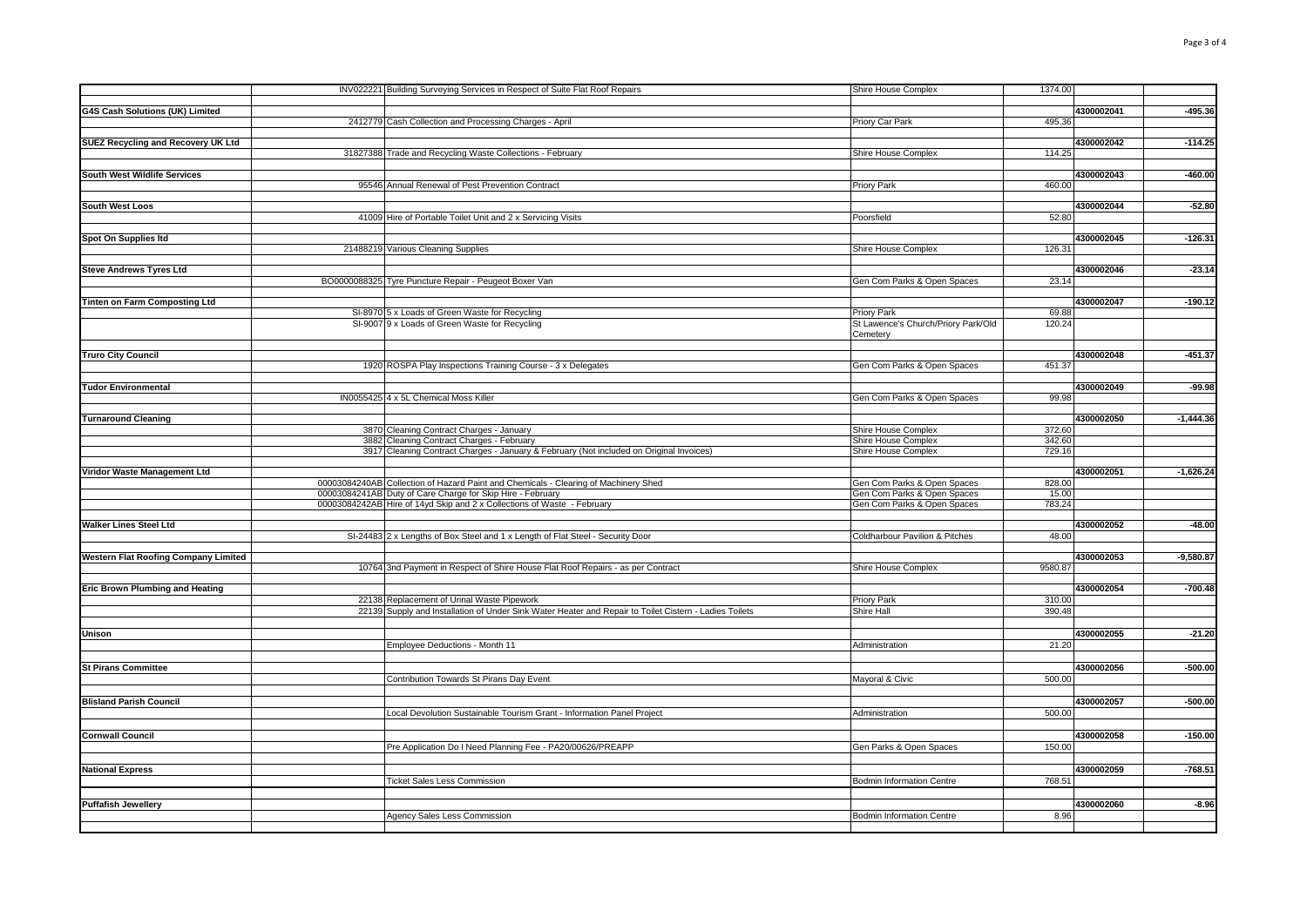|                                             | INV022221 Building Surveying Services in Respect of Suite Flat Roof Repairs                            | Shire House Complex                               | 1374.00          |            |             |
|---------------------------------------------|--------------------------------------------------------------------------------------------------------|---------------------------------------------------|------------------|------------|-------------|
|                                             |                                                                                                        |                                                   |                  |            |             |
| G4S Cash Solutions (UK) Limited             |                                                                                                        |                                                   | 495.36           | 4300002041 | $-495.36$   |
|                                             | 2412779 Cash Collection and Processing Charges - April                                                 | Priory Car Park                                   |                  |            |             |
| SUEZ Recycling and Recovery UK Ltd          |                                                                                                        |                                                   |                  | 4300002042 | $-114.25$   |
|                                             | 31827388 Trade and Recycling Waste Collections - February                                              | Shire House Complex                               | 114.25           |            |             |
|                                             |                                                                                                        |                                                   |                  |            |             |
| South West Wildlife Services                |                                                                                                        |                                                   |                  | 4300002043 | $-460.00$   |
|                                             | 95546 Annual Renewal of Pest Prevention Contract                                                       | <b>Priory Park</b>                                | 460.00           |            |             |
|                                             |                                                                                                        |                                                   |                  |            |             |
| <b>South West Loos</b>                      |                                                                                                        |                                                   |                  | 4300002044 | $-52.80$    |
|                                             | 41009 Hire of Portable Toilet Unit and 2 x Servicing Visits                                            | Poorsfield                                        | 52.80            |            |             |
| Spot On Supplies Itd                        |                                                                                                        |                                                   |                  | 4300002045 | $-126.31$   |
|                                             |                                                                                                        |                                                   |                  |            |             |
|                                             | 21488219 Various Cleaning Supplies                                                                     | Shire House Complex                               | 126.31           |            |             |
| <b>Steve Andrews Tyres Ltd</b>              |                                                                                                        |                                                   |                  | 4300002046 | $-23.14$    |
|                                             | BO0000088325 Tyre Puncture Repair - Peugeot Boxer Van                                                  | Gen Com Parks & Open Spaces                       | 23.14            |            |             |
|                                             |                                                                                                        |                                                   |                  |            |             |
| Tinten on Farm Composting Ltd               |                                                                                                        |                                                   |                  | 4300002047 | $-190.12$   |
|                                             | SI-8970 5 x Loads of Green Waste for Recycling                                                         | <b>Priory Park</b>                                | 69.88            |            |             |
|                                             | SI-9007 9 x Loads of Green Waste for Recycling                                                         | St Lawence's Church/Priory Park/Old               | 120.24           |            |             |
|                                             |                                                                                                        | Cemetery                                          |                  |            |             |
|                                             |                                                                                                        |                                                   |                  |            |             |
| <b>Truro City Council</b>                   |                                                                                                        |                                                   |                  | 4300002048 | $-451.37$   |
|                                             | 1920 ROSPA Play Inspections Training Course - 3 x Delegates                                            | Gen Com Parks & Open Spaces                       | 451.37           |            |             |
|                                             |                                                                                                        |                                                   |                  |            |             |
| <b>Tudor Environmental</b>                  |                                                                                                        |                                                   |                  | 4300002049 | $-99.98$    |
|                                             | IN0055425 4 x 5L Chemical Moss Killer                                                                  | Gen Com Parks & Open Spaces                       | 99.98            |            |             |
|                                             |                                                                                                        |                                                   |                  |            |             |
| <b>Turnaround Cleaning</b>                  |                                                                                                        |                                                   |                  | 4300002050 | $-1.444.36$ |
|                                             | 3870 Cleaning Contract Charges - January<br>3882 Cleaning Contract Charges - February                  | Shire House Complex<br><b>Shire House Complex</b> | 372.60<br>342.60 |            |             |
|                                             |                                                                                                        |                                                   |                  |            |             |
|                                             | 3917 Cleaning Contract Charges - January & February (Not included on Original Invoices)                | Shire House Complex                               | 729.16           |            |             |
| Viridor Waste Management Ltd                |                                                                                                        |                                                   |                  | 4300002051 | $-1,626.24$ |
|                                             | 00003084240AB Collection of Hazard Paint and Chemicals - Clearing of Machinery Shed                    | Gen Com Parks & Open Spaces                       | 828.00           |            |             |
|                                             | 00003084241AB Duty of Care Charge for Skip Hire - February                                             | Gen Com Parks & Open Spaces                       | 15.00            |            |             |
|                                             | 00003084242AB Hire of 14yd Skip and 2 x Collections of Waste - February                                | Gen Com Parks & Open Spaces                       | 783.24           |            |             |
|                                             |                                                                                                        |                                                   |                  |            |             |
| Walker Lines Steel Ltd                      |                                                                                                        |                                                   |                  | 4300002052 | $-48.00$    |
|                                             | SI-24483 2 x Lengths of Box Steel and 1 x Length of Flat Steel - Security Door                         | Coldharbour Pavilion & Pitches                    | 48.00            |            |             |
|                                             |                                                                                                        |                                                   |                  |            |             |
| <b>Western Flat Roofing Company Limited</b> |                                                                                                        |                                                   |                  | 4300002053 | $-9,580.87$ |
|                                             | 10764 3nd Payment in Respect of Shire House Flat Roof Repairs - as per Contract                        | Shire House Complex                               | 9580.87          |            |             |
|                                             |                                                                                                        |                                                   |                  |            |             |
| Eric Brown Plumbing and Heating             |                                                                                                        |                                                   |                  | 4300002054 | $-700.48$   |
|                                             | 22138 Replacement of Urinal Waste Pipework                                                             | <b>Priory Park</b>                                | 310.00           |            |             |
|                                             | 22139 Supply and Installation of Under Sink Water Heater and Repair to Toilet Cistern - Ladies Toilets | Shire Hall                                        | 390.48           |            |             |
|                                             |                                                                                                        |                                                   |                  |            |             |
| Unison                                      |                                                                                                        |                                                   |                  | 4300002055 | $-21.20$    |
|                                             | Employee Deductions - Month 11                                                                         | Administration                                    | 21.20            |            |             |
|                                             |                                                                                                        |                                                   |                  |            |             |
| <b>St Pirans Committee</b>                  |                                                                                                        |                                                   |                  | 4300002056 | $-500.00$   |
|                                             | Contribution Towards St Pirans Day Event                                                               | Mayoral & Civic                                   | 500.00           |            |             |
|                                             |                                                                                                        |                                                   |                  |            |             |
| <b>Blisland Parish Council</b>              |                                                                                                        |                                                   |                  | 4300002057 | $-500.00$   |
|                                             | Local Devolution Sustainable Tourism Grant - Information Panel Project                                 | Administration                                    | 500.00           |            |             |
|                                             |                                                                                                        |                                                   |                  |            |             |
| <b>Cornwall Council</b>                     |                                                                                                        |                                                   |                  | 4300002058 | $-150.00$   |
|                                             | Pre Application Do I Need Planning Fee - PA20/00626/PREAPP                                             | Gen Parks & Open Spaces                           | 150.00           |            |             |
|                                             |                                                                                                        |                                                   |                  |            |             |
| <b>National Express</b>                     |                                                                                                        |                                                   |                  | 4300002059 | $-768.51$   |
|                                             | <b>Ticket Sales Less Commission</b>                                                                    | <b>Bodmin Information Centre</b>                  | 768.51           |            |             |
|                                             |                                                                                                        |                                                   |                  |            |             |
| Puffafish Jewellery                         |                                                                                                        |                                                   |                  | 4300002060 | $-8.96$     |
|                                             |                                                                                                        | <b>Bodmin Information Centre</b>                  | 8.96             |            |             |
|                                             | Agency Sales Less Commission                                                                           |                                                   |                  |            |             |